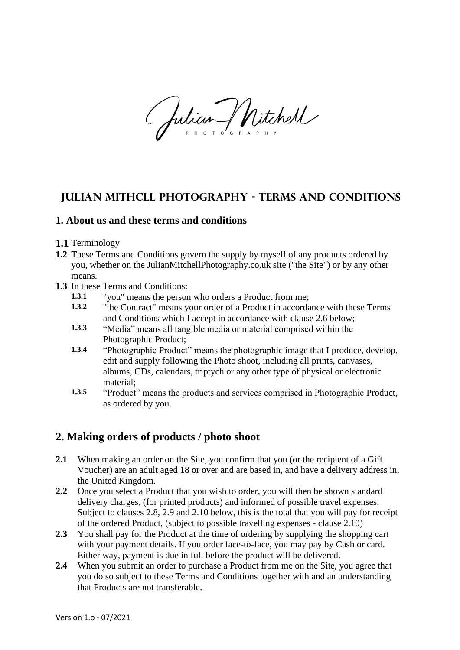(Julian Mitchell

# **Julian mithcll photography - terms and conditions**

#### **1. About us and these terms and conditions**

- **1.1** Terminology
- **1.2** These Terms and Conditions govern the supply by myself of any products ordered by you, whether on the JulianMitchellPhotography.co.uk site ("the Site") or by any other means.
- **1.3** In these Terms and Conditions:
	- **1.3.1** "you" means the person who orders a Product from me;
	- **1.3.2** "the Contract" means your order of a Product in accordance with these Terms and Conditions which I accept in accordance with clause 2.6 below;
	- **1.3.3** "Media" means all tangible media or material comprised within the Photographic Product;
	- **1.3.4** "Photographic Product" means the photographic image that I produce, develop, edit and supply following the Photo shoot, including all prints, canvases, albums, CDs, calendars, triptych or any other type of physical or electronic material;
	- **1.3.5** "Product" means the products and services comprised in Photographic Product, as ordered by you.

# **2. Making orders of products / photo shoot**

- **2.1** When making an order on the Site, you confirm that you (or the recipient of a Gift Voucher) are an adult aged 18 or over and are based in, and have a delivery address in, the United Kingdom.
- **2.2** Once you select a Product that you wish to order, you will then be shown standard delivery charges, (for printed products) and informed of possible travel expenses. Subject to clauses 2.8, 2.9 and 2.10 below, this is the total that you will pay for receipt of the ordered Product, (subject to possible travelling expenses - clause 2.10)
- **2.3** You shall pay for the Product at the time of ordering by supplying the shopping cart with your payment details. If you order face-to-face, you may pay by Cash or card. Either way, payment is due in full before the product will be delivered.
- **2.4** When you submit an order to purchase a Product from me on the Site, you agree that you do so subject to these Terms and Conditions together with and an understanding that Products are not transferable.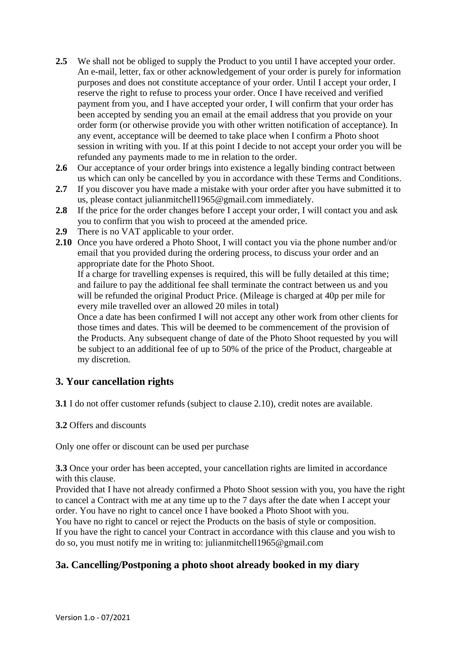- **2.5** We shall not be obliged to supply the Product to you until I have accepted your order. An e-mail, letter, fax or other acknowledgement of your order is purely for information purposes and does not constitute acceptance of your order. Until I accept your order, I reserve the right to refuse to process your order. Once I have received and verified payment from you, and I have accepted your order, I will confirm that your order has been accepted by sending you an email at the email address that you provide on your order form (or otherwise provide you with other written notification of acceptance). In any event, acceptance will be deemed to take place when I confirm a Photo shoot session in writing with you. If at this point I decide to not accept your order you will be refunded any payments made to me in relation to the order.
- **2.6** Our acceptance of your order brings into existence a legally binding contract between us which can only be cancelled by you in accordance with these Terms and Conditions.
- **2.7** If you discover you have made a mistake with your order after you have submitted it to us, please contact julianmitchell1965@gmail.com immediately.
- 2.8 If the price for the order changes before I accept your order, I will contact you and ask you to confirm that you wish to proceed at the amended price.
- **2.9** There is no VAT applicable to your order.
- **2.10** Once you have ordered a Photo Shoot, I will contact you via the phone number and/or email that you provided during the ordering process, to discuss your order and an appropriate date for the Photo Shoot.

If a charge for travelling expenses is required, this will be fully detailed at this time; and failure to pay the additional fee shall terminate the contract between us and you will be refunded the original Product Price. (Mileage is charged at 40p per mile for every mile travelled over an allowed 20 miles in total)

Once a date has been confirmed I will not accept any other work from other clients for those times and dates. This will be deemed to be commencement of the provision of the Products. Any subsequent change of date of the Photo Shoot requested by you will be subject to an additional fee of up to 50% of the price of the Product, chargeable at my discretion.

## **3. Your cancellation rights**

**3.1** I do not offer customer refunds (subject to clause 2.10), credit notes are available.

**3.2** Offers and discounts

Only one offer or discount can be used per purchase

**3.3** Once your order has been accepted, your cancellation rights are limited in accordance with this clause.

Provided that I have not already confirmed a Photo Shoot session with you, you have the right to cancel a Contract with me at any time up to the 7 days after the date when I accept your order. You have no right to cancel once I have booked a Photo Shoot with you.

You have no right to cancel or reject the Products on the basis of style or composition. If you have the right to cancel your Contract in accordance with this clause and you wish to do so, you must notify me in writing to: julianmitchell1965@gmail.com

# **3a. Cancelling/Postponing a photo shoot already booked in my diary**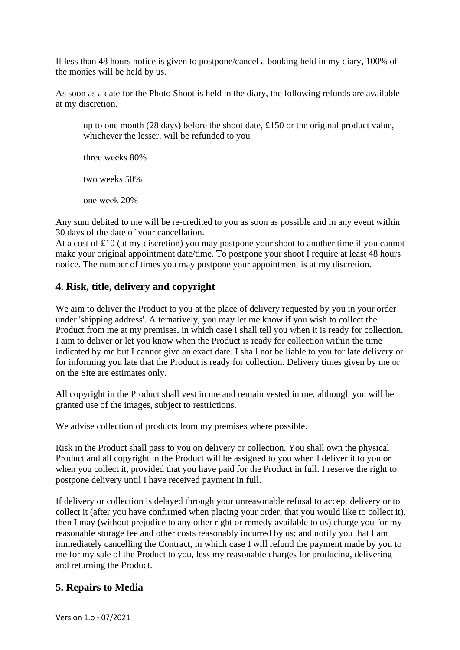If less than 48 hours notice is given to postpone/cancel a booking held in my diary, 100% of the monies will be held by us.

As soon as a date for the Photo Shoot is held in the diary, the following refunds are available at my discretion.

up to one month (28 days) before the shoot date, £150 or the original product value, whichever the lesser, will be refunded to you

three weeks 80%

two weeks 50%

one week 20%

Any sum debited to me will be re-credited to you as soon as possible and in any event within 30 days of the date of your cancellation.

At a cost of £10 (at my discretion) you may postpone your shoot to another time if you cannot make your original appointment date/time. To postpone your shoot I require at least 48 hours notice. The number of times you may postpone your appointment is at my discretion.

# **4. Risk, title, delivery and copyright**

We aim to deliver the Product to you at the place of delivery requested by you in your order under 'shipping address'. Alternatively, you may let me know if you wish to collect the Product from me at my premises, in which case I shall tell you when it is ready for collection. I aim to deliver or let you know when the Product is ready for collection within the time indicated by me but I cannot give an exact date. I shall not be liable to you for late delivery or for informing you late that the Product is ready for collection. Delivery times given by me or on the Site are estimates only.

All copyright in the Product shall vest in me and remain vested in me, although you will be granted use of the images, subject to restrictions.

We advise collection of products from my premises where possible.

Risk in the Product shall pass to you on delivery or collection. You shall own the physical Product and all copyright in the Product will be assigned to you when I deliver it to you or when you collect it, provided that you have paid for the Product in full. I reserve the right to postpone delivery until I have received payment in full.

If delivery or collection is delayed through your unreasonable refusal to accept delivery or to collect it (after you have confirmed when placing your order; that you would like to collect it), then I may (without prejudice to any other right or remedy available to us) charge you for my reasonable storage fee and other costs reasonably incurred by us; and notify you that I am immediately cancelling the Contract, in which case I will refund the payment made by you to me for my sale of the Product to you, less my reasonable charges for producing, delivering and returning the Product.

# **5. Repairs to Media**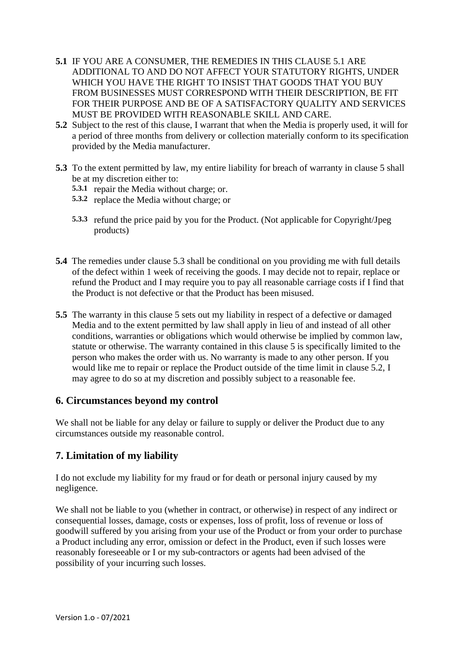- **5.1** IF YOU ARE A CONSUMER, THE REMEDIES IN THIS CLAUSE 5.1 ARE ADDITIONAL TO AND DO NOT AFFECT YOUR STATUTORY RIGHTS, UNDER WHICH YOU HAVE THE RIGHT TO INSIST THAT GOODS THAT YOU BUY FROM BUSINESSES MUST CORRESPOND WITH THEIR DESCRIPTION, BE FIT FOR THEIR PURPOSE AND BE OF A SATISFACTORY QUALITY AND SERVICES MUST BE PROVIDED WITH REASONABLE SKILL AND CARE.
- **5.2** Subject to the rest of this clause, I warrant that when the Media is properly used, it will for a period of three months from delivery or collection materially conform to its specification provided by the Media manufacturer.
- **5.3** To the extent permitted by law, my entire liability for breach of warranty in clause 5 shall be at my discretion either to:
	- **5.3.1** repair the Media without charge; or.
	- **5.3.2** replace the Media without charge; or
	- **5.3.3** refund the price paid by you for the Product. (Not applicable for Copyright/Jpeg products)
- **5.4** The remedies under clause 5.3 shall be conditional on you providing me with full details of the defect within 1 week of receiving the goods. I may decide not to repair, replace or refund the Product and I may require you to pay all reasonable carriage costs if I find that the Product is not defective or that the Product has been misused.
- **5.5** The warranty in this clause 5 sets out my liability in respect of a defective or damaged Media and to the extent permitted by law shall apply in lieu of and instead of all other conditions, warranties or obligations which would otherwise be implied by common law, statute or otherwise. The warranty contained in this clause 5 is specifically limited to the person who makes the order with us. No warranty is made to any other person. If you would like me to repair or replace the Product outside of the time limit in clause 5.2, I may agree to do so at my discretion and possibly subject to a reasonable fee.

## **6. Circumstances beyond my control**

We shall not be liable for any delay or failure to supply or deliver the Product due to any circumstances outside my reasonable control.

## **7. Limitation of my liability**

I do not exclude my liability for my fraud or for death or personal injury caused by my negligence.

We shall not be liable to you (whether in contract, or otherwise) in respect of any indirect or consequential losses, damage, costs or expenses, loss of profit, loss of revenue or loss of goodwill suffered by you arising from your use of the Product or from your order to purchase a Product including any error, omission or defect in the Product, even if such losses were reasonably foreseeable or I or my sub-contractors or agents had been advised of the possibility of your incurring such losses.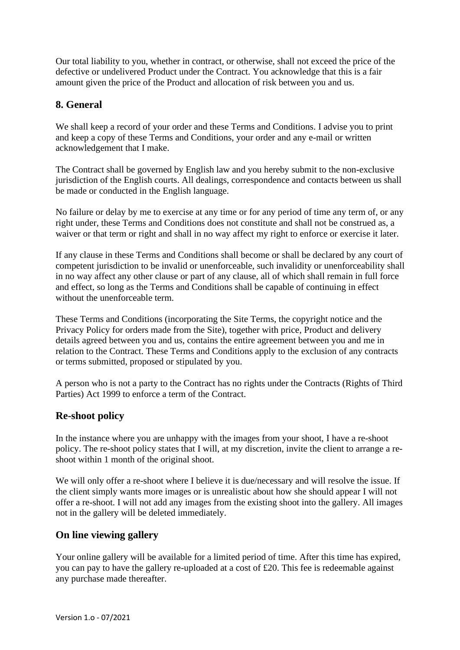Our total liability to you, whether in contract, or otherwise, shall not exceed the price of the defective or undelivered Product under the Contract. You acknowledge that this is a fair amount given the price of the Product and allocation of risk between you and us.

# **8. General**

We shall keep a record of your order and these Terms and Conditions. I advise you to print and keep a copy of these Terms and Conditions, your order and any e-mail or written acknowledgement that I make.

The Contract shall be governed by English law and you hereby submit to the non-exclusive jurisdiction of the English courts. All dealings, correspondence and contacts between us shall be made or conducted in the English language.

No failure or delay by me to exercise at any time or for any period of time any term of, or any right under, these Terms and Conditions does not constitute and shall not be construed as, a waiver or that term or right and shall in no way affect my right to enforce or exercise it later.

If any clause in these Terms and Conditions shall become or shall be declared by any court of competent jurisdiction to be invalid or unenforceable, such invalidity or unenforceability shall in no way affect any other clause or part of any clause, all of which shall remain in full force and effect, so long as the Terms and Conditions shall be capable of continuing in effect without the unenforceable term.

These Terms and Conditions (incorporating the Site Terms, the copyright notice and the Privacy Policy for orders made from the Site), together with price, Product and delivery details agreed between you and us, contains the entire agreement between you and me in relation to the Contract. These Terms and Conditions apply to the exclusion of any contracts or terms submitted, proposed or stipulated by you.

A person who is not a party to the Contract has no rights under the Contracts (Rights of Third Parties) Act 1999 to enforce a term of the Contract.

## **Re-shoot policy**

In the instance where you are unhappy with the images from your shoot, I have a re-shoot policy. The re-shoot policy states that I will, at my discretion, invite the client to arrange a reshoot within 1 month of the original shoot.

We will only offer a re-shoot where I believe it is due/necessary and will resolve the issue. If the client simply wants more images or is unrealistic about how she should appear I will not offer a re-shoot. I will not add any images from the existing shoot into the gallery. All images not in the gallery will be deleted immediately.

## **On line viewing gallery**

Your online gallery will be available for a limited period of time. After this time has expired, you can pay to have the gallery re-uploaded at a cost of £20. This fee is redeemable against any purchase made thereafter.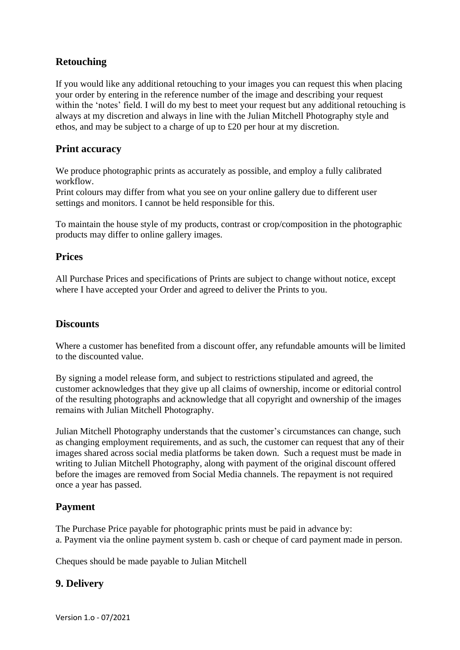# **Retouching**

If you would like any additional retouching to your images you can request this when placing your order by entering in the reference number of the image and describing your request within the 'notes' field. I will do my best to meet your request but any additional retouching is always at my discretion and always in line with the Julian Mitchell Photography style and ethos, and may be subject to a charge of up to £20 per hour at my discretion.

#### **Print accuracy**

We produce photographic prints as accurately as possible, and employ a fully calibrated workflow.

Print colours may differ from what you see on your online gallery due to different user settings and monitors. I cannot be held responsible for this.

To maintain the house style of my products, contrast or crop/composition in the photographic products may differ to online gallery images.

#### **Prices**

All Purchase Prices and specifications of Prints are subject to change without notice, except where I have accepted your Order and agreed to deliver the Prints to you.

#### **Discounts**

Where a customer has benefited from a discount offer, any refundable amounts will be limited to the discounted value.

By signing a model release form, and subject to restrictions stipulated and agreed, the customer acknowledges that they give up all claims of ownership, income or editorial control of the resulting photographs and acknowledge that all copyright and ownership of the images remains with Julian Mitchell Photography.

Julian Mitchell Photography understands that the customer's circumstances can change, such as changing employment requirements, and as such, the customer can request that any of their images shared across social media platforms be taken down. Such a request must be made in writing to Julian Mitchell Photography, along with payment of the original discount offered before the images are removed from Social Media channels. The repayment is not required once a year has passed.

## **Payment**

The Purchase Price payable for photographic prints must be paid in advance by: a. Payment via the online payment system b. cash or cheque of card payment made in person.

Cheques should be made payable to Julian Mitchell

# **9. Delivery**